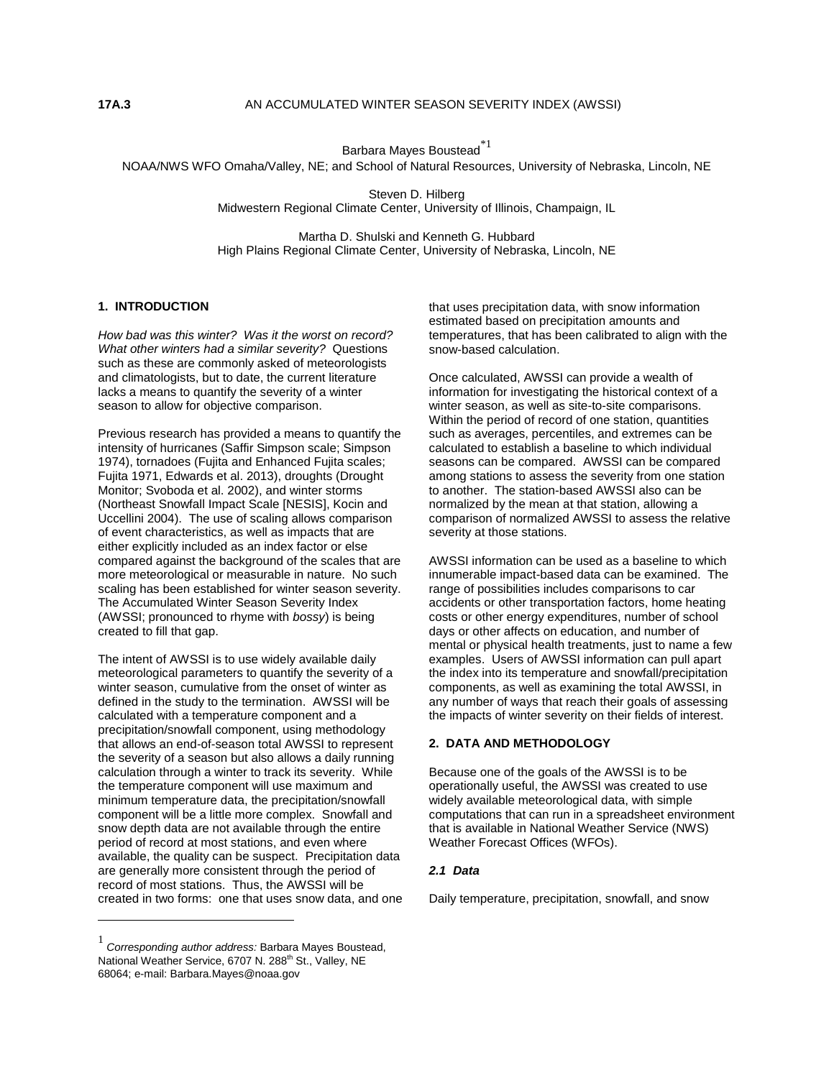Barbara Mayes Boustead $^{\ast1}$ 

NOAA/NWS WFO Omaha/Valley, NE; and School of Natural Resources, University of Nebraska, Lincoln, NE

Steven D. Hilberg Midwestern Regional Climate Center, University of Illinois, Champaign, IL

Martha D. Shulski and Kenneth G. Hubbard High Plains Regional Climate Center, University of Nebraska, Lincoln, NE

# **1. INTRODUCTION**

*How bad was this winter? Was it the worst on record? What other winters had a similar severity?* Questions such as these are commonly asked of meteorologists and climatologists, but to date, the current literature lacks a means to quantify the severity of a winter season to allow for objective comparison.

Previous research has provided a means to quantify the intensity of hurricanes (Saffir Simpson scale; Simpson 1974), tornadoes (Fujita and Enhanced Fujita scales; Fujita 1971, Edwards et al. 2013), droughts (Drought Monitor; Svoboda et al. 2002), and winter storms (Northeast Snowfall Impact Scale [NESIS], Kocin and Uccellini 2004). The use of scaling allows comparison of event characteristics, as well as impacts that are either explicitly included as an index factor or else compared against the background of the scales that are more meteorological or measurable in nature. No such scaling has been established for winter season severity. The Accumulated Winter Season Severity Index (AWSSI; pronounced to rhyme with *bossy*) is being created to fill that gap.

The intent of AWSSI is to use widely available daily meteorological parameters to quantify the severity of a winter season, cumulative from the onset of winter as defined in the study to the termination. AWSSI will be calculated with a temperature component and a precipitation/snowfall component, using methodology that allows an end-of-season total AWSSI to represent the severity of a season but also allows a daily running calculation through a winter to track its severity. While the temperature component will use maximum and minimum temperature data, the precipitation/snowfall component will be a little more complex. Snowfall and snow depth data are not available through the entire period of record at most stations, and even where available, the quality can be suspect. Precipitation data are generally more consistent through the period of record of most stations. Thus, the AWSSI will be created in two forms: one that uses snow data, and one

 $\overline{a}$ 

that uses precipitation data, with snow information estimated based on precipitation amounts and temperatures, that has been calibrated to align with the snow-based calculation.

Once calculated, AWSSI can provide a wealth of information for investigating the historical context of a winter season, as well as site-to-site comparisons. Within the period of record of one station, quantities such as averages, percentiles, and extremes can be calculated to establish a baseline to which individual seasons can be compared. AWSSI can be compared among stations to assess the severity from one station to another. The station-based AWSSI also can be normalized by the mean at that station, allowing a comparison of normalized AWSSI to assess the relative severity at those stations.

AWSSI information can be used as a baseline to which innumerable impact-based data can be examined. The range of possibilities includes comparisons to car accidents or other transportation factors, home heating costs or other energy expenditures, number of school days or other affects on education, and number of mental or physical health treatments, just to name a few examples. Users of AWSSI information can pull apart the index into its temperature and snowfall/precipitation components, as well as examining the total AWSSI, in any number of ways that reach their goals of assessing the impacts of winter severity on their fields of interest.

#### **2. DATA AND METHODOLOGY**

Because one of the goals of the AWSSI is to be operationally useful, the AWSSI was created to use widely available meteorological data, with simple computations that can run in a spreadsheet environment that is available in National Weather Service (NWS) Weather Forecast Offices (WFOs).

### *2.1 Data*

Daily temperature, precipitation, snowfall, and snow

<sup>1</sup> *Corresponding author address:* Barbara Mayes Boustead, National Weather Service, 6707 N. 288<sup>th</sup> St., Valley, NE 68064; e-mail: Barbara.Mayes@noaa.gov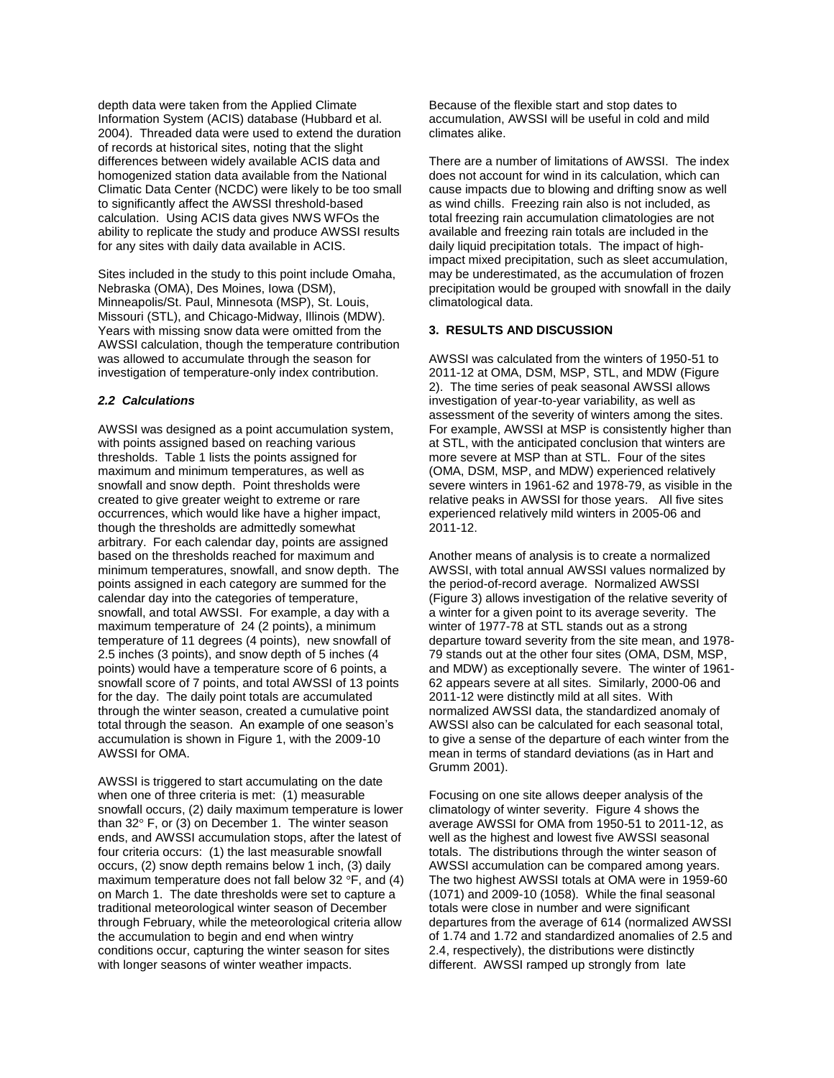depth data were taken from the Applied Climate Information System (ACIS) database (Hubbard et al. 2004). Threaded data were used to extend the duration of records at historical sites, noting that the slight differences between widely available ACIS data and homogenized station data available from the National Climatic Data Center (NCDC) were likely to be too small to significantly affect the AWSSI threshold-based calculation. Using ACIS data gives NWS WFOs the ability to replicate the study and produce AWSSI results for any sites with daily data available in ACIS.

Sites included in the study to this point include Omaha, Nebraska (OMA), Des Moines, Iowa (DSM), Minneapolis/St. Paul, Minnesota (MSP), St. Louis, Missouri (STL), and Chicago-Midway, Illinois (MDW). Years with missing snow data were omitted from the AWSSI calculation, though the temperature contribution was allowed to accumulate through the season for investigation of temperature-only index contribution.

# *2.2 Calculations*

AWSSI was designed as a point accumulation system, with points assigned based on reaching various thresholds. Table 1 lists the points assigned for maximum and minimum temperatures, as well as snowfall and snow depth. Point thresholds were created to give greater weight to extreme or rare occurrences, which would like have a higher impact, though the thresholds are admittedly somewhat arbitrary. For each calendar day, points are assigned based on the thresholds reached for maximum and minimum temperatures, snowfall, and snow depth. The points assigned in each category are summed for the calendar day into the categories of temperature, snowfall, and total AWSSI. For example, a day with a maximum temperature of 24 (2 points), a minimum temperature of 11 degrees (4 points), new snowfall of 2.5 inches (3 points), and snow depth of 5 inches (4 points) would have a temperature score of 6 points, a snowfall score of 7 points, and total AWSSI of 13 points for the day. The daily point totals are accumulated through the winter season, created a cumulative point total through the season. An example of one season's accumulation is shown in Figure 1, with the 2009-10 AWSSI for OMA.

AWSSI is triggered to start accumulating on the date when one of three criteria is met: (1) measurable snowfall occurs, (2) daily maximum temperature is lower than 32° F, or (3) on December 1. The winter season ends, and AWSSI accumulation stops, after the latest of four criteria occurs: (1) the last measurable snowfall occurs, (2) snow depth remains below 1 inch, (3) daily maximum temperature does not fall below 32 °F, and (4) on March 1. The date thresholds were set to capture a traditional meteorological winter season of December through February, while the meteorological criteria allow the accumulation to begin and end when wintry conditions occur, capturing the winter season for sites with longer seasons of winter weather impacts.

Because of the flexible start and stop dates to accumulation, AWSSI will be useful in cold and mild climates alike.

There are a number of limitations of AWSSI. The index does not account for wind in its calculation, which can cause impacts due to blowing and drifting snow as well as wind chills. Freezing rain also is not included, as total freezing rain accumulation climatologies are not available and freezing rain totals are included in the daily liquid precipitation totals. The impact of highimpact mixed precipitation, such as sleet accumulation, may be underestimated, as the accumulation of frozen precipitation would be grouped with snowfall in the daily climatological data.

## **3. RESULTS AND DISCUSSION**

AWSSI was calculated from the winters of 1950-51 to 2011-12 at OMA, DSM, MSP, STL, and MDW (Figure 2). The time series of peak seasonal AWSSI allows investigation of year-to-year variability, as well as assessment of the severity of winters among the sites. For example, AWSSI at MSP is consistently higher than at STL, with the anticipated conclusion that winters are more severe at MSP than at STL. Four of the sites (OMA, DSM, MSP, and MDW) experienced relatively severe winters in 1961-62 and 1978-79, as visible in the relative peaks in AWSSI for those years. All five sites experienced relatively mild winters in 2005-06 and 2011-12.

Another means of analysis is to create a normalized AWSSI, with total annual AWSSI values normalized by the period-of-record average. Normalized AWSSI (Figure 3) allows investigation of the relative severity of a winter for a given point to its average severity. The winter of 1977-78 at STL stands out as a strong departure toward severity from the site mean, and 1978- 79 stands out at the other four sites (OMA, DSM, MSP, and MDW) as exceptionally severe. The winter of 1961- 62 appears severe at all sites. Similarly, 2000-06 and 2011-12 were distinctly mild at all sites. With normalized AWSSI data, the standardized anomaly of AWSSI also can be calculated for each seasonal total, to give a sense of the departure of each winter from the mean in terms of standard deviations (as in Hart and Grumm 2001).

Focusing on one site allows deeper analysis of the climatology of winter severity. Figure 4 shows the average AWSSI for OMA from 1950-51 to 2011-12, as well as the highest and lowest five AWSSI seasonal totals. The distributions through the winter season of AWSSI accumulation can be compared among years. The two highest AWSSI totals at OMA were in 1959-60 (1071) and 2009-10 (1058). While the final seasonal totals were close in number and were significant departures from the average of 614 (normalized AWSSI of 1.74 and 1.72 and standardized anomalies of 2.5 and 2.4, respectively), the distributions were distinctly different. AWSSI ramped up strongly from late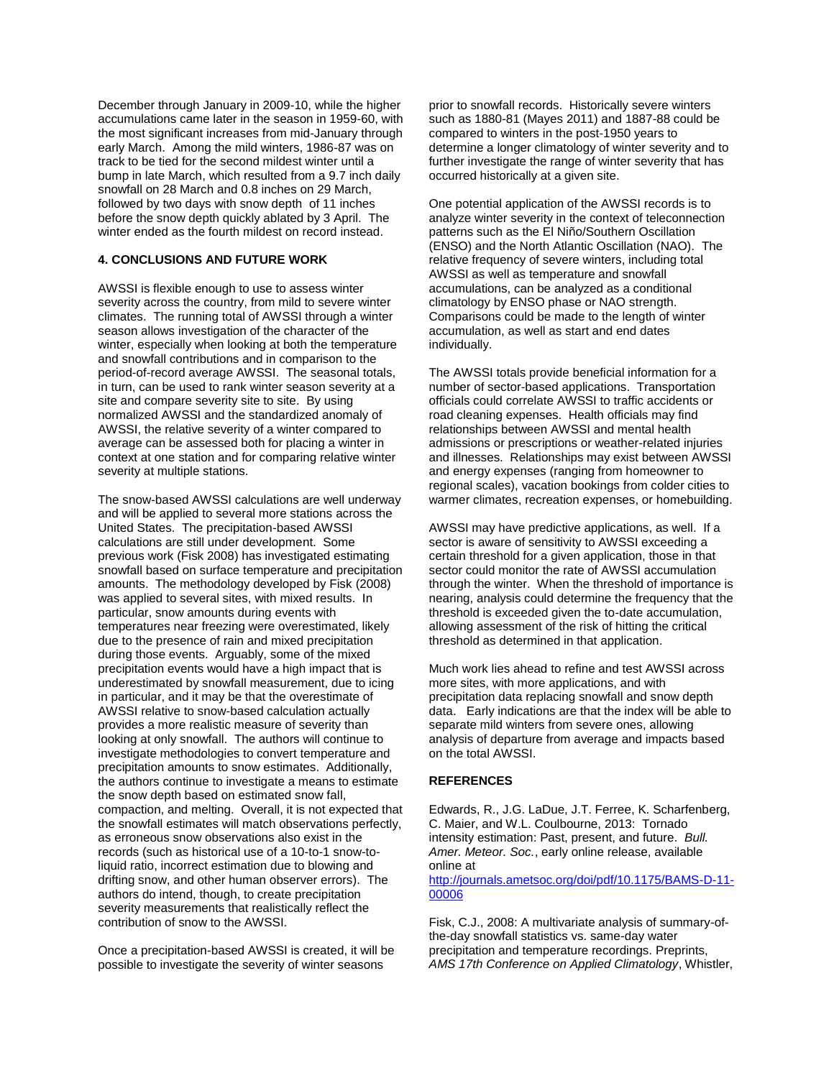December through January in 2009-10, while the higher accumulations came later in the season in 1959-60, with the most significant increases from mid-January through early March. Among the mild winters, 1986-87 was on track to be tied for the second mildest winter until a bump in late March, which resulted from a 9.7 inch daily snowfall on 28 March and 0.8 inches on 29 March, followed by two days with snow depth of 11 inches before the snow depth quickly ablated by 3 April. The winter ended as the fourth mildest on record instead.

## **4. CONCLUSIONS AND FUTURE WORK**

AWSSI is flexible enough to use to assess winter severity across the country, from mild to severe winter climates. The running total of AWSSI through a winter season allows investigation of the character of the winter, especially when looking at both the temperature and snowfall contributions and in comparison to the period-of-record average AWSSI. The seasonal totals, in turn, can be used to rank winter season severity at a site and compare severity site to site. By using normalized AWSSI and the standardized anomaly of AWSSI, the relative severity of a winter compared to average can be assessed both for placing a winter in context at one station and for comparing relative winter severity at multiple stations.

The snow-based AWSSI calculations are well underway and will be applied to several more stations across the United States. The precipitation-based AWSSI calculations are still under development. Some previous work (Fisk 2008) has investigated estimating snowfall based on surface temperature and precipitation amounts. The methodology developed by Fisk (2008) was applied to several sites, with mixed results. In particular, snow amounts during events with temperatures near freezing were overestimated, likely due to the presence of rain and mixed precipitation during those events. Arguably, some of the mixed precipitation events would have a high impact that is underestimated by snowfall measurement, due to icing in particular, and it may be that the overestimate of AWSSI relative to snow-based calculation actually provides a more realistic measure of severity than looking at only snowfall. The authors will continue to investigate methodologies to convert temperature and precipitation amounts to snow estimates. Additionally, the authors continue to investigate a means to estimate the snow depth based on estimated snow fall, compaction, and melting. Overall, it is not expected that the snowfall estimates will match observations perfectly, as erroneous snow observations also exist in the records (such as historical use of a 10-to-1 snow-toliquid ratio, incorrect estimation due to blowing and drifting snow, and other human observer errors). The authors do intend, though, to create precipitation severity measurements that realistically reflect the contribution of snow to the AWSSI.

Once a precipitation-based AWSSI is created, it will be possible to investigate the severity of winter seasons

prior to snowfall records. Historically severe winters such as 1880-81 (Mayes 2011) and 1887-88 could be compared to winters in the post-1950 years to determine a longer climatology of winter severity and to further investigate the range of winter severity that has occurred historically at a given site.

One potential application of the AWSSI records is to analyze winter severity in the context of teleconnection patterns such as the El Niño/Southern Oscillation (ENSO) and the North Atlantic Oscillation (NAO). The relative frequency of severe winters, including total AWSSI as well as temperature and snowfall accumulations, can be analyzed as a conditional climatology by ENSO phase or NAO strength. Comparisons could be made to the length of winter accumulation, as well as start and end dates individually.

The AWSSI totals provide beneficial information for a number of sector-based applications. Transportation officials could correlate AWSSI to traffic accidents or road cleaning expenses. Health officials may find relationships between AWSSI and mental health admissions or prescriptions or weather-related injuries and illnesses. Relationships may exist between AWSSI and energy expenses (ranging from homeowner to regional scales), vacation bookings from colder cities to warmer climates, recreation expenses, or homebuilding.

AWSSI may have predictive applications, as well. If a sector is aware of sensitivity to AWSSI exceeding a certain threshold for a given application, those in that sector could monitor the rate of AWSSI accumulation through the winter. When the threshold of importance is nearing, analysis could determine the frequency that the threshold is exceeded given the to-date accumulation, allowing assessment of the risk of hitting the critical threshold as determined in that application.

Much work lies ahead to refine and test AWSSI across more sites, with more applications, and with precipitation data replacing snowfall and snow depth data. Early indications are that the index will be able to separate mild winters from severe ones, allowing analysis of departure from average and impacts based on the total AWSSI.

#### **REFERENCES**

Edwards, R., J.G. LaDue, J.T. Ferree, K. Scharfenberg, C. Maier, and W.L. Coulbourne, 2013: Tornado intensity estimation: Past, present, and future. *Bull. Amer. Meteor. Soc.*, early online release, available online at [http://journals.ametsoc.org/doi/pdf/10.1175/BAMS-D-11-](http://journals.ametsoc.org/doi/pdf/10.1175/BAMS-D-11-00006) [00006](http://journals.ametsoc.org/doi/pdf/10.1175/BAMS-D-11-00006)

Fisk, C.J., 2008: A multivariate analysis of summary-ofthe-day snowfall statistics vs. same-day water precipitation and temperature recordings. Preprints, *AMS 17th Conference on Applied Climatology*, Whistler,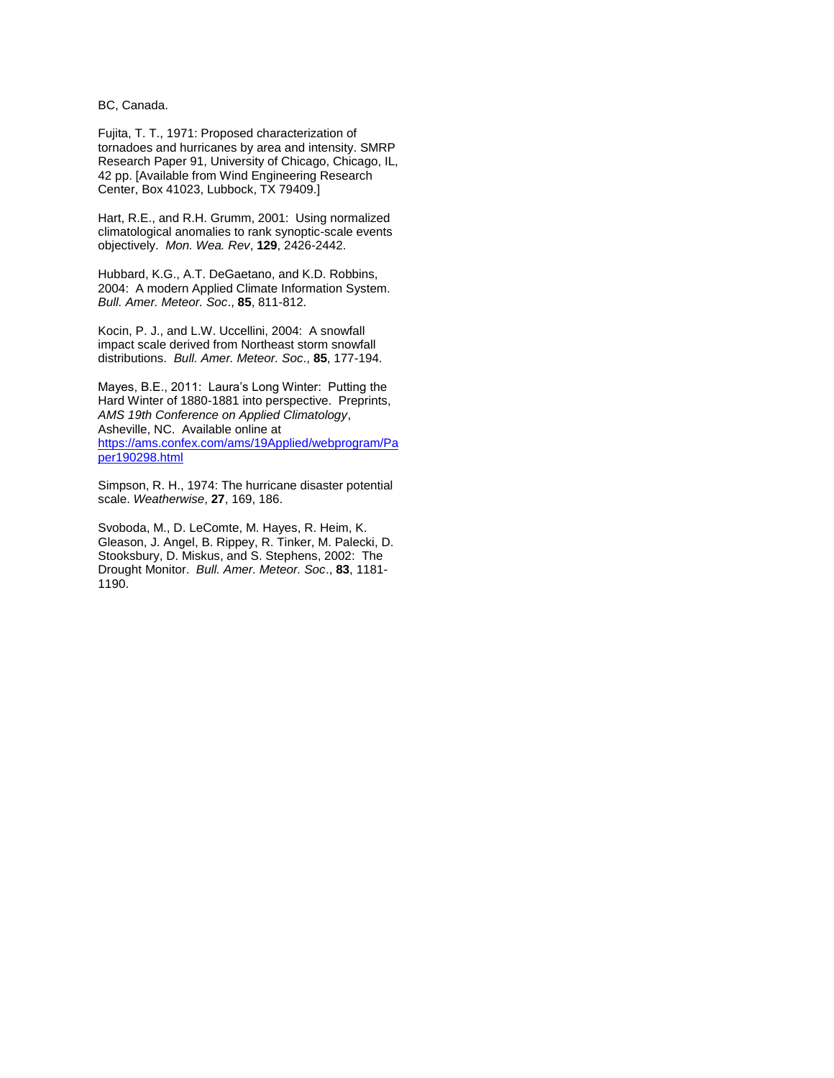BC, Canada.

Fujita, T. T., 1971: Proposed characterization of tornadoes and hurricanes by area and intensity. SMRP Research Paper 91, University of Chicago, Chicago, IL, 42 pp. [Available from Wind Engineering Research Center, Box 41023, Lubbock, TX 79409.]

Hart, R.E., and R.H. Grumm, 2001: Using normalized climatological anomalies to rank synoptic-scale events objectively. *Mon. Wea. Rev*, **129**, 2426-2442.

Hubbard, K.G., A.T. DeGaetano, and K.D. Robbins, 2004: A modern Applied Climate Information System. *Bull. Amer. Meteor. Soc*., **85**, 811-812.

Kocin, P. J., and L.W. Uccellini, 2004: A snowfall impact scale derived from Northeast storm snowfall distributions. *Bull. Amer. Meteor. Soc*., **85**, 177-194.

Mayes, B.E., 2011: Laura's Long Winter: Putting the Hard Winter of 1880-1881 into perspective. Preprints, *AMS 19th Conference on Applied Climatology*, Asheville, NC. Available online at [https://ams.confex.com/ams/19Applied/webprogram/Pa](https://ams.confex.com/ams/19Applied/webprogram/Paper190298.html) [per190298.html](https://ams.confex.com/ams/19Applied/webprogram/Paper190298.html)

Simpson, R. H., 1974: The hurricane disaster potential scale. *Weatherwise*, **27**, 169, 186.

Svoboda, M., D. LeComte, M. Hayes, R. Heim, K. Gleason, J. Angel, B. Rippey, R. Tinker, M. Palecki, D. Stooksbury, D. Miskus, and S. Stephens, 2002: The Drought Monitor. *Bull. Amer. Meteor. Soc*., **83**, 1181- 1190.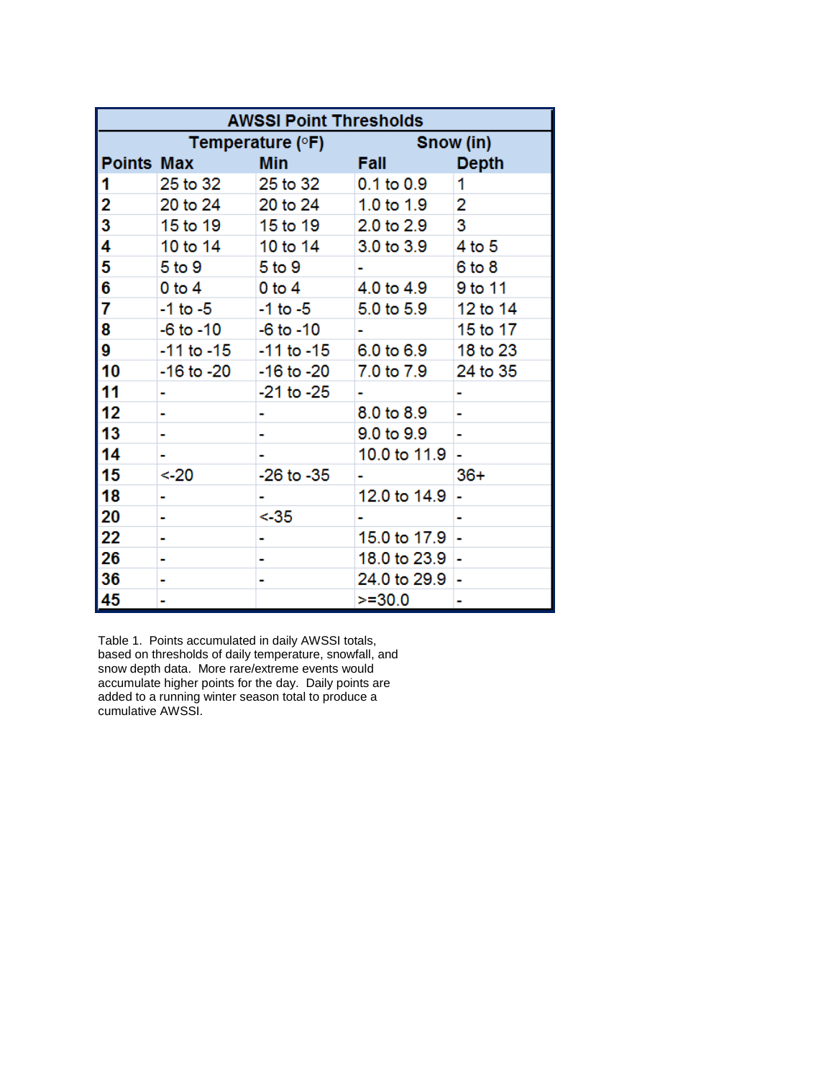| <b>AWSSI Point Thresholds</b> |                    |                |                |              |
|-------------------------------|--------------------|----------------|----------------|--------------|
|                               | Temperature $(°F)$ |                | Snow (in)      |              |
| <b>Points Max</b>             |                    | Min            | <b>Fall</b>    | <b>Depth</b> |
| 1                             | 25 to 32           | 25 to 32       | $0.1$ to $0.9$ | 1            |
| 2                             | 20 to 24           | 20 to 24       | 1.0 to 1.9     | 2            |
| 3                             | 15 to 19           | 15 to 19       | 2.0 to 2.9     | 3            |
| 4                             | 10 to 14           | 10 to 14       | 3.0 to 3.9     | 4 to 5       |
| 5                             | 5 <sub>to</sub> 9  | 5 to 9         |                | $6$ to $8$   |
| 6                             | $0$ to $4$         | $0$ to $4$     | 4.0 to 4.9     | 9 to 11      |
| 7                             | -1 to -5           | $-1$ to $-5$   | 5.0 to 5.9     | 12 to 14     |
| 8                             | $-6$ to $-10$      | $-6$ to $-10$  |                | 15 to 17     |
| 9                             | $-11$ to $-15$     | $-11$ to $-15$ | 6.0 to 6.9     | 18 to 23     |
| 10                            | -16 to -20         | $-16$ to $-20$ | 7.0 to 7.9     | 24 to 35     |
| 11                            |                    | $-21$ to $-25$ |                |              |
| 12                            |                    |                | 8.0 to 8.9     |              |
| 13                            |                    |                | 9.0 to 9.9     |              |
| 14                            |                    |                | 10.0 to 11.9   |              |
| 15                            | < 20               | $-26$ to $-35$ |                | 36+          |
| 18                            | ٠                  |                | 12.0 to 14.9   |              |
| 20                            | ۰                  | <-35           |                |              |
| 22                            | ۰                  |                | 15.0 to 17.9   |              |
| 26                            | ۰                  |                | 18.0 to 23.9   | ۰            |
| 36                            | ٠                  |                | 24.0 to 29.9   | ۰            |
| 45                            | ۰                  |                | $>=30.0$       | ۰            |

Table 1. Points accumulated in daily AWSSI totals, based on thresholds of daily temperature, snowfall, and snow depth data. More rare/extreme events would accumulate higher points for the day. Daily points are added to a running winter season total to produce a cumulative AWSSI.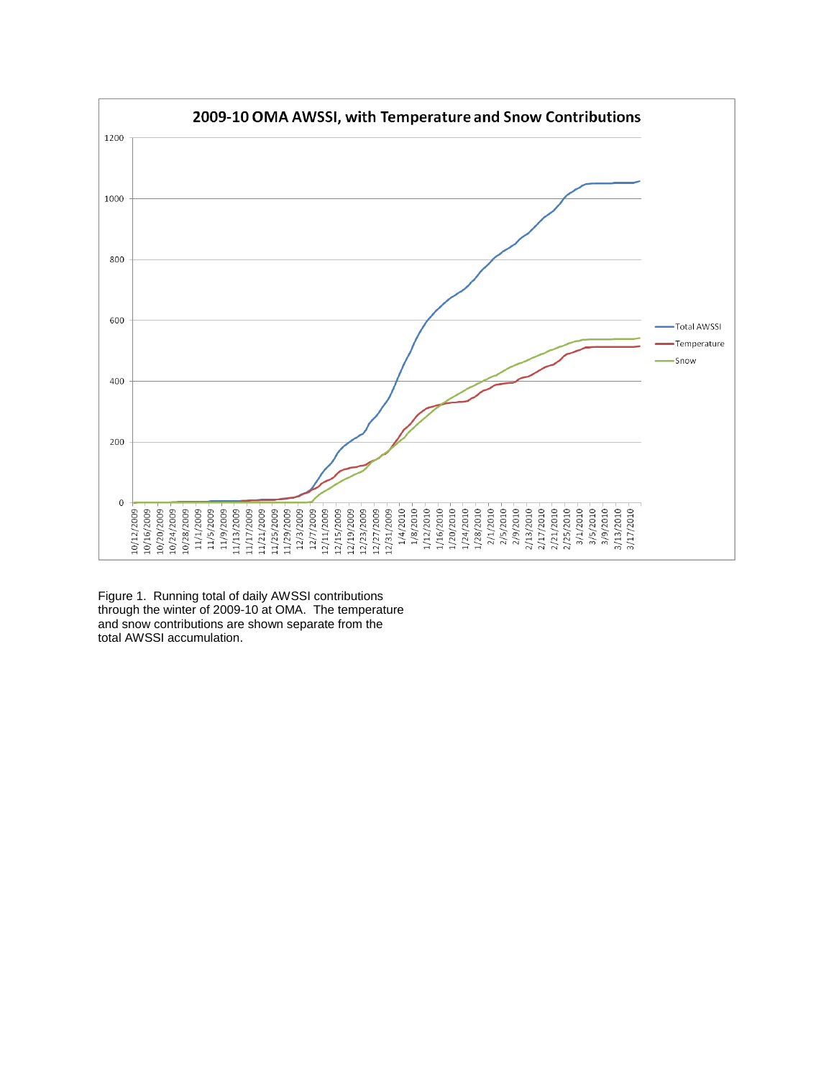

Figure 1. Running total of daily AWSSI contributions through the winter of 2009-10 at OMA. The temperature and snow contributions are shown separate from the total AWSSI accumulation.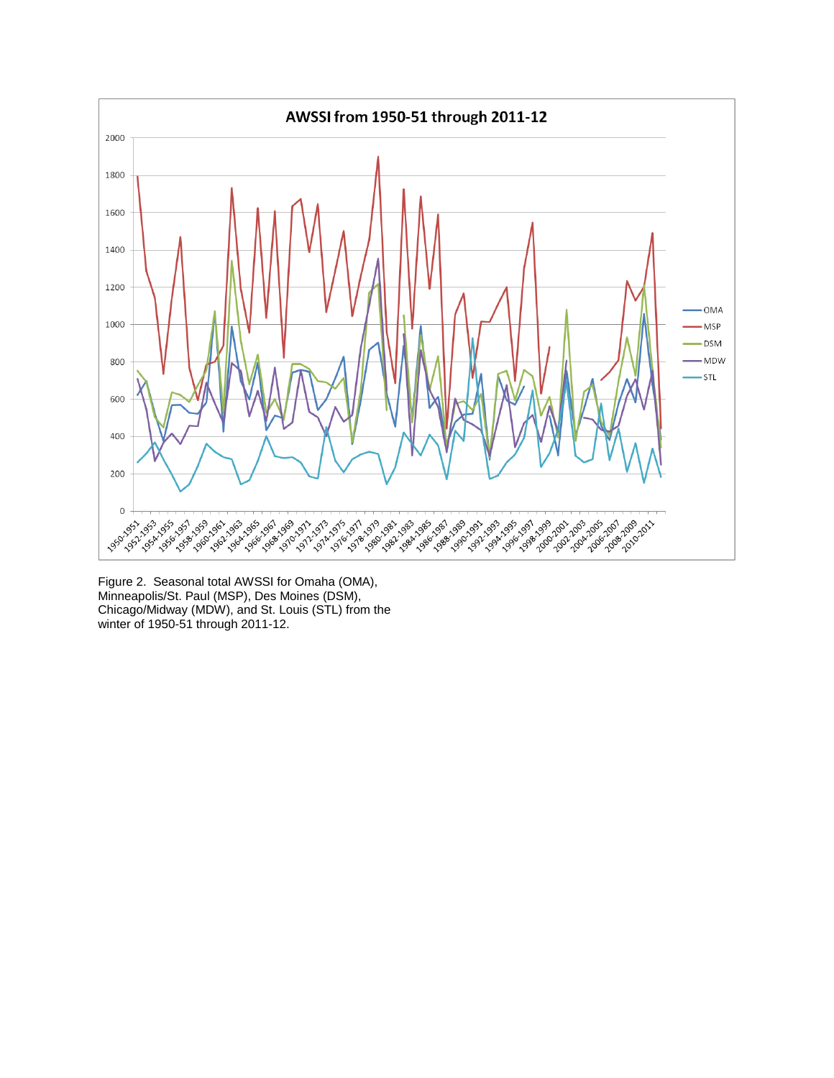

Figure 2. Seasonal total AWSSI for Omaha (OMA), Minneapolis/St. Paul (MSP), Des Moines (DSM), Chicago/Midway (MDW), and St. Louis (STL) from the winter of 1950-51 through 2011-12.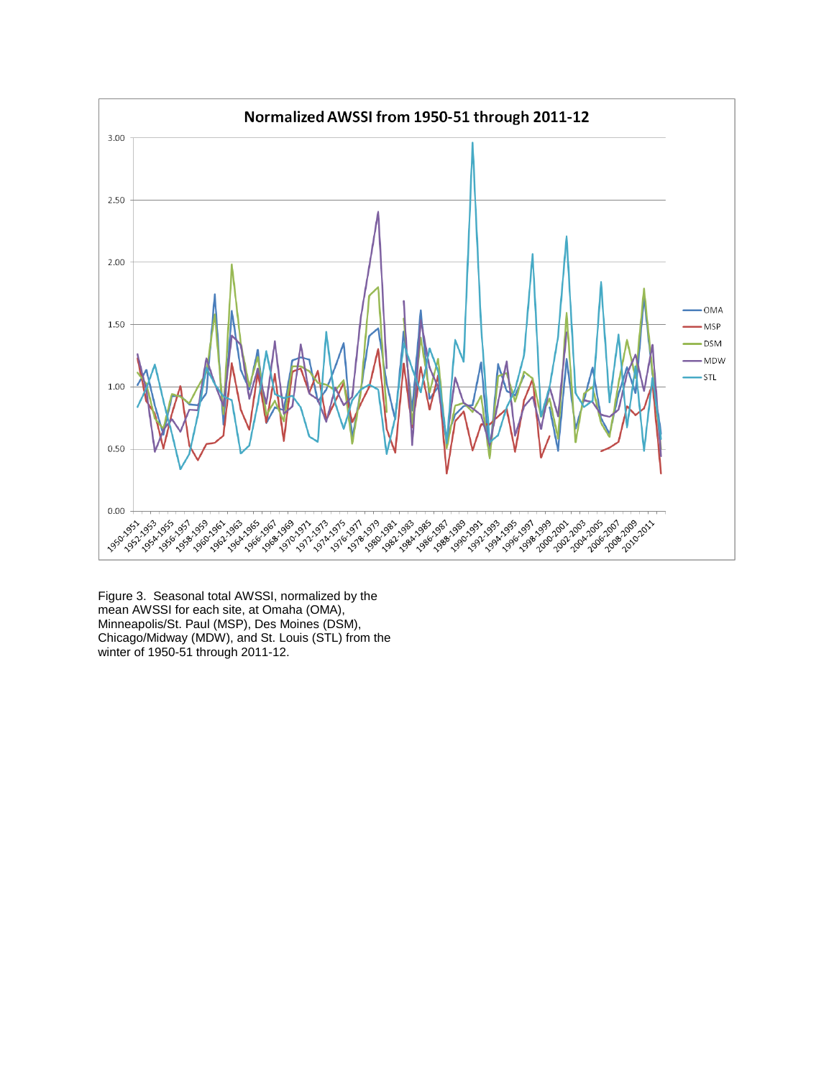

Figure 3. Seasonal total AWSSI, normalized by the mean AWSSI for each site, at Omaha (OMA), Minneapolis/St. Paul (MSP), Des Moines (DSM), Chicago/Midway (MDW), and St. Louis (STL) from the winter of 1950-51 through 2011-12.